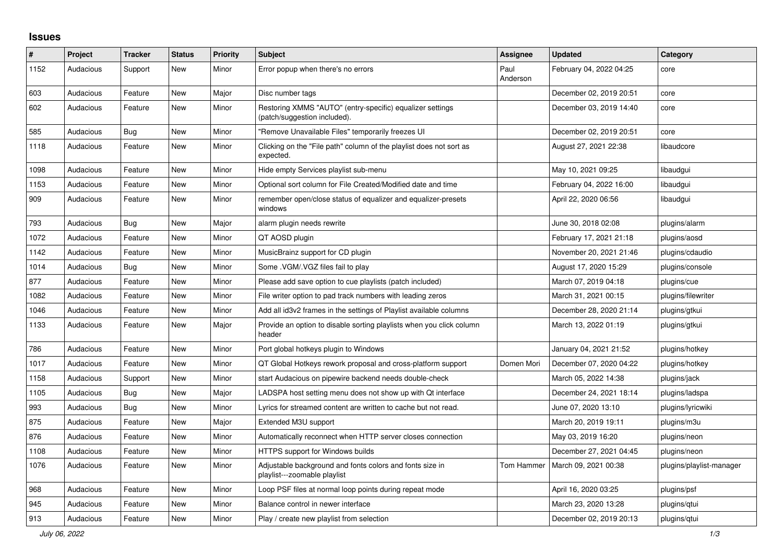## **Issues**

| #    | <b>Project</b> | <b>Tracker</b> | <b>Status</b> | <b>Priority</b> | <b>Subject</b>                                                                            | Assignee         | <b>Updated</b>          | Category                 |
|------|----------------|----------------|---------------|-----------------|-------------------------------------------------------------------------------------------|------------------|-------------------------|--------------------------|
| 1152 | Audacious      | Support        | <b>New</b>    | Minor           | Error popup when there's no errors                                                        | Paul<br>Anderson | February 04, 2022 04:25 | core                     |
| 603  | Audacious      | Feature        | <b>New</b>    | Major           | Disc number tags                                                                          |                  | December 02, 2019 20:51 | core                     |
| 602  | Audacious      | Feature        | <b>New</b>    | Minor           | Restoring XMMS "AUTO" (entry-specific) equalizer settings<br>(patch/suggestion included). |                  | December 03, 2019 14:40 | core                     |
| 585  | Audacious      | Bug            | New           | Minor           | "Remove Unavailable Files" temporarily freezes UI                                         |                  | December 02, 2019 20:51 | core                     |
| 1118 | Audacious      | Feature        | <b>New</b>    | Minor           | Clicking on the "File path" column of the playlist does not sort as<br>expected.          |                  | August 27, 2021 22:38   | libaudcore               |
| 1098 | Audacious      | Feature        | <b>New</b>    | Minor           | Hide empty Services playlist sub-menu                                                     |                  | May 10, 2021 09:25      | libaudgui                |
| 1153 | Audacious      | Feature        | <b>New</b>    | Minor           | Optional sort column for File Created/Modified date and time                              |                  | February 04, 2022 16:00 | libaudgui                |
| 909  | Audacious      | Feature        | <b>New</b>    | Minor           | remember open/close status of equalizer and equalizer-presets<br>windows                  |                  | April 22, 2020 06:56    | libaudgui                |
| 793  | Audacious      | Bug            | <b>New</b>    | Major           | alarm plugin needs rewrite                                                                |                  | June 30, 2018 02:08     | plugins/alarm            |
| 1072 | Audacious      | Feature        | <b>New</b>    | Minor           | QT AOSD plugin                                                                            |                  | February 17, 2021 21:18 | plugins/aosd             |
| 1142 | Audacious      | Feature        | New           | Minor           | MusicBrainz support for CD plugin                                                         |                  | November 20, 2021 21:46 | plugins/cdaudio          |
| 1014 | Audacious      | Bug            | <b>New</b>    | Minor           | Some . VGM/. VGZ files fail to play                                                       |                  | August 17, 2020 15:29   | plugins/console          |
| 877  | Audacious      | Feature        | <b>New</b>    | Minor           | Please add save option to cue playlists (patch included)                                  |                  | March 07, 2019 04:18    | plugins/cue              |
| 1082 | Audacious      | Feature        | <b>New</b>    | Minor           | File writer option to pad track numbers with leading zeros                                |                  | March 31, 2021 00:15    | plugins/filewriter       |
| 1046 | Audacious      | Feature        | New           | Minor           | Add all id3v2 frames in the settings of Playlist available columns                        |                  | December 28, 2020 21:14 | plugins/gtkui            |
| 1133 | Audacious      | Feature        | <b>New</b>    | Major           | Provide an option to disable sorting playlists when you click column<br>header            |                  | March 13, 2022 01:19    | plugins/gtkui            |
| 786  | Audacious      | Feature        | <b>New</b>    | Minor           | Port global hotkeys plugin to Windows                                                     |                  | January 04, 2021 21:52  | plugins/hotkey           |
| 1017 | Audacious      | Feature        | <b>New</b>    | Minor           | QT Global Hotkeys rework proposal and cross-platform support                              | Domen Mori       | December 07, 2020 04:22 | plugins/hotkey           |
| 1158 | Audacious      | Support        | New           | Minor           | start Audacious on pipewire backend needs double-check                                    |                  | March 05, 2022 14:38    | plugins/jack             |
| 1105 | Audacious      | Bug            | <b>New</b>    | Major           | LADSPA host setting menu does not show up with Qt interface                               |                  | December 24, 2021 18:14 | plugins/ladspa           |
| 993  | Audacious      | Bug            | <b>New</b>    | Minor           | Lyrics for streamed content are written to cache but not read.                            |                  | June 07, 2020 13:10     | plugins/lyricwiki        |
| 875  | Audacious      | Feature        | <b>New</b>    | Major           | Extended M3U support                                                                      |                  | March 20, 2019 19:11    | plugins/m3u              |
| 876  | Audacious      | Feature        | <b>New</b>    | Minor           | Automatically reconnect when HTTP server closes connection                                |                  | May 03, 2019 16:20      | plugins/neon             |
| 1108 | Audacious      | Feature        | New           | Minor           | <b>HTTPS support for Windows builds</b>                                                   |                  | December 27, 2021 04:45 | plugins/neon             |
| 1076 | Audacious      | Feature        | <b>New</b>    | Minor           | Adjustable background and fonts colors and fonts size in<br>playlist---zoomable playlist  | Tom Hammer       | March 09, 2021 00:38    | plugins/playlist-manager |
| 968  | Audacious      | Feature        | New           | Minor           | Loop PSF files at normal loop points during repeat mode                                   |                  | April 16, 2020 03:25    | plugins/psf              |
| 945  | Audacious      | Feature        | <b>New</b>    | Minor           | Balance control in newer interface                                                        |                  | March 23, 2020 13:28    | plugins/gtui             |
| 913  | Audacious      | Feature        | <b>New</b>    | Minor           | Play / create new playlist from selection                                                 |                  | December 02, 2019 20:13 | plugins/gtui             |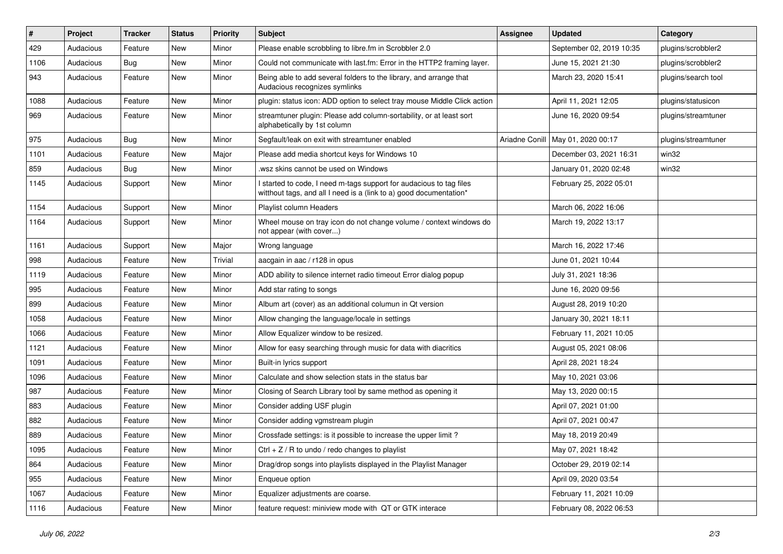| #    | Project   | <b>Tracker</b> | <b>Status</b> | <b>Priority</b> | <b>Subject</b>                                                                                                                            | <b>Assignee</b> | <b>Updated</b>           | Category            |
|------|-----------|----------------|---------------|-----------------|-------------------------------------------------------------------------------------------------------------------------------------------|-----------------|--------------------------|---------------------|
| 429  | Audacious | Feature        | <b>New</b>    | Minor           | Please enable scrobbling to libre.fm in Scrobbler 2.0                                                                                     |                 | September 02, 2019 10:35 | plugins/scrobbler2  |
| 1106 | Audacious | <b>Bug</b>     | New           | Minor           | Could not communicate with last.fm: Error in the HTTP2 framing layer.                                                                     |                 | June 15, 2021 21:30      | plugins/scrobbler2  |
| 943  | Audacious | Feature        | New           | Minor           | Being able to add several folders to the library, and arrange that<br>Audacious recognizes symlinks                                       |                 | March 23, 2020 15:41     | plugins/search tool |
| 1088 | Audacious | Feature        | <b>New</b>    | Minor           | plugin: status icon: ADD option to select tray mouse Middle Click action                                                                  |                 | April 11, 2021 12:05     | plugins/statusicon  |
| 969  | Audacious | Feature        | New           | Minor           | streamtuner plugin: Please add column-sortability, or at least sort<br>alphabetically by 1st column                                       |                 | June 16, 2020 09:54      | plugins/streamtuner |
| 975  | Audacious | Bug            | New           | Minor           | Segfault/leak on exit with streamtuner enabled                                                                                            | Ariadne Conill  | May 01, 2020 00:17       | plugins/streamtuner |
| 1101 | Audacious | Feature        | New           | Major           | Please add media shortcut keys for Windows 10                                                                                             |                 | December 03, 2021 16:31  | win32               |
| 859  | Audacious | <b>Bug</b>     | New           | Minor           | .wsz skins cannot be used on Windows                                                                                                      |                 | January 01, 2020 02:48   | win32               |
| 1145 | Audacious | Support        | New           | Minor           | I started to code, I need m-tags support for audacious to tag files<br>witthout tags, and all I need is a (link to a) good documentation* |                 | February 25, 2022 05:01  |                     |
| 1154 | Audacious | Support        | New           | Minor           | Playlist column Headers                                                                                                                   |                 | March 06, 2022 16:06     |                     |
| 1164 | Audacious | Support        | New           | Minor           | Wheel mouse on tray icon do not change volume / context windows do<br>not appear (with cover)                                             |                 | March 19, 2022 13:17     |                     |
| 1161 | Audacious | Support        | New           | Major           | Wrong language                                                                                                                            |                 | March 16, 2022 17:46     |                     |
| 998  | Audacious | Feature        | New           | Trivial         | aacgain in aac / r128 in opus                                                                                                             |                 | June 01, 2021 10:44      |                     |
| 1119 | Audacious | Feature        | New           | Minor           | ADD ability to silence internet radio timeout Error dialog popup                                                                          |                 | July 31, 2021 18:36      |                     |
| 995  | Audacious | Feature        | <b>New</b>    | Minor           | Add star rating to songs                                                                                                                  |                 | June 16, 2020 09:56      |                     |
| 899  | Audacious | Feature        | New           | Minor           | Album art (cover) as an additional columun in Qt version                                                                                  |                 | August 28, 2019 10:20    |                     |
| 1058 | Audacious | Feature        | New           | Minor           | Allow changing the language/locale in settings                                                                                            |                 | January 30, 2021 18:11   |                     |
| 1066 | Audacious | Feature        | New           | Minor           | Allow Equalizer window to be resized.                                                                                                     |                 | February 11, 2021 10:05  |                     |
| 1121 | Audacious | Feature        | New           | Minor           | Allow for easy searching through music for data with diacritics                                                                           |                 | August 05, 2021 08:06    |                     |
| 1091 | Audacious | Feature        | New           | Minor           | Built-in lyrics support                                                                                                                   |                 | April 28, 2021 18:24     |                     |
| 1096 | Audacious | Feature        | New           | Minor           | Calculate and show selection stats in the status bar                                                                                      |                 | May 10, 2021 03:06       |                     |
| 987  | Audacious | Feature        | <b>New</b>    | Minor           | Closing of Search Library tool by same method as opening it                                                                               |                 | May 13, 2020 00:15       |                     |
| 883  | Audacious | Feature        | New           | Minor           | Consider adding USF plugin                                                                                                                |                 | April 07, 2021 01:00     |                     |
| 882  | Audacious | Feature        | New           | Minor           | Consider adding vgmstream plugin                                                                                                          |                 | April 07, 2021 00:47     |                     |
| 889  | Audacious | Feature        | New           | Minor           | Crossfade settings: is it possible to increase the upper limit?                                                                           |                 | May 18, 2019 20:49       |                     |
| 1095 | Audacious | Feature        | New           | Minor           | Ctrl $+$ Z / R to undo / redo changes to playlist                                                                                         |                 | May 07, 2021 18:42       |                     |
| 864  | Audacious | Feature        | New           | Minor           | Drag/drop songs into playlists displayed in the Playlist Manager                                                                          |                 | October 29, 2019 02:14   |                     |
| 955  | Audacious | Feature        | New           | Minor           | Enqueue option                                                                                                                            |                 | April 09, 2020 03:54     |                     |
| 1067 | Audacious | Feature        | New           | Minor           | Equalizer adjustments are coarse.                                                                                                         |                 | February 11, 2021 10:09  |                     |
| 1116 | Audacious | Feature        | New           | Minor           | feature request: miniview mode with QT or GTK interace                                                                                    |                 | February 08, 2022 06:53  |                     |